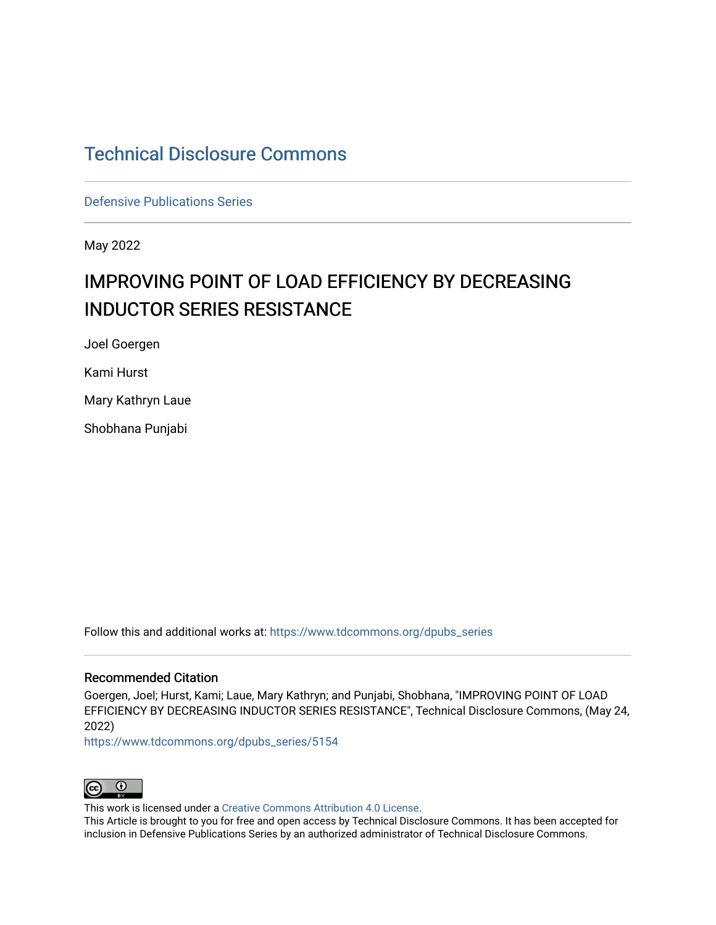# [Technical Disclosure Commons](https://www.tdcommons.org/)

[Defensive Publications Series](https://www.tdcommons.org/dpubs_series)

May 2022

# IMPROVING POINT OF LOAD EFFICIENCY BY DECREASING INDUCTOR SERIES RESISTANCE

Joel Goergen

Kami Hurst

Mary Kathryn Laue

Shobhana Punjabi

Follow this and additional works at: [https://www.tdcommons.org/dpubs\\_series](https://www.tdcommons.org/dpubs_series?utm_source=www.tdcommons.org%2Fdpubs_series%2F5154&utm_medium=PDF&utm_campaign=PDFCoverPages) 

## Recommended Citation

Goergen, Joel; Hurst, Kami; Laue, Mary Kathryn; and Punjabi, Shobhana, "IMPROVING POINT OF LOAD EFFICIENCY BY DECREASING INDUCTOR SERIES RESISTANCE", Technical Disclosure Commons, (May 24, 2022)

[https://www.tdcommons.org/dpubs\\_series/5154](https://www.tdcommons.org/dpubs_series/5154?utm_source=www.tdcommons.org%2Fdpubs_series%2F5154&utm_medium=PDF&utm_campaign=PDFCoverPages)



This work is licensed under a [Creative Commons Attribution 4.0 License](http://creativecommons.org/licenses/by/4.0/deed.en_US).

This Article is brought to you for free and open access by Technical Disclosure Commons. It has been accepted for inclusion in Defensive Publications Series by an authorized administrator of Technical Disclosure Commons.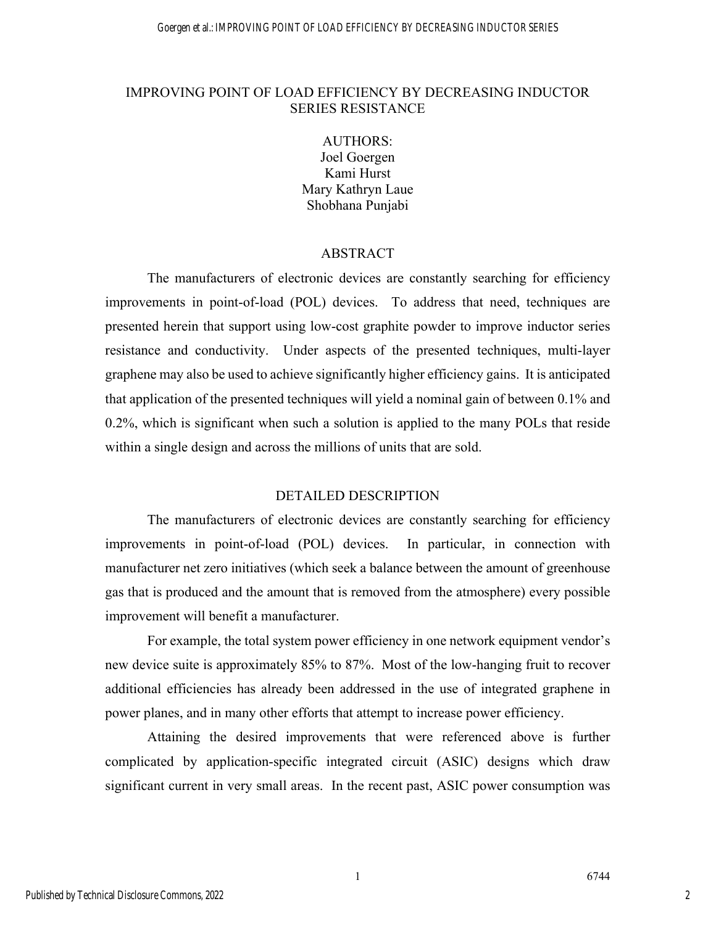### IMPROVING POINT OF LOAD EFFICIENCY BY DECREASING INDUCTOR SERIES RESISTANCE

AUTHORS: Joel Goergen Kami Hurst Mary Kathryn Laue Shobhana Punjabi

#### ABSTRACT

The manufacturers of electronic devices are constantly searching for efficiency improvements in point-of-load (POL) devices. To address that need, techniques are presented herein that support using low-cost graphite powder to improve inductor series resistance and conductivity. Under aspects of the presented techniques, multi-layer graphene may also be used to achieve significantly higher efficiency gains. It is anticipated that application of the presented techniques will yield a nominal gain of between 0.1% and 0.2%, which is significant when such a solution is applied to the many POLs that reside within a single design and across the millions of units that are sold.

#### DETAILED DESCRIPTION

The manufacturers of electronic devices are constantly searching for efficiency improvements in point-of-load (POL) devices. In particular, in connection with manufacturer net zero initiatives (which seek a balance between the amount of greenhouse gas that is produced and the amount that is removed from the atmosphere) every possible improvement will benefit a manufacturer.

For example, the total system power efficiency in one network equipment vendor's new device suite is approximately 85% to 87%. Most of the low-hanging fruit to recover additional efficiencies has already been addressed in the use of integrated graphene in power planes, and in many other efforts that attempt to increase power efficiency.

Attaining the desired improvements that were referenced above is further complicated by application-specific integrated circuit (ASIC) designs which draw significant current in very small areas. In the recent past, ASIC power consumption was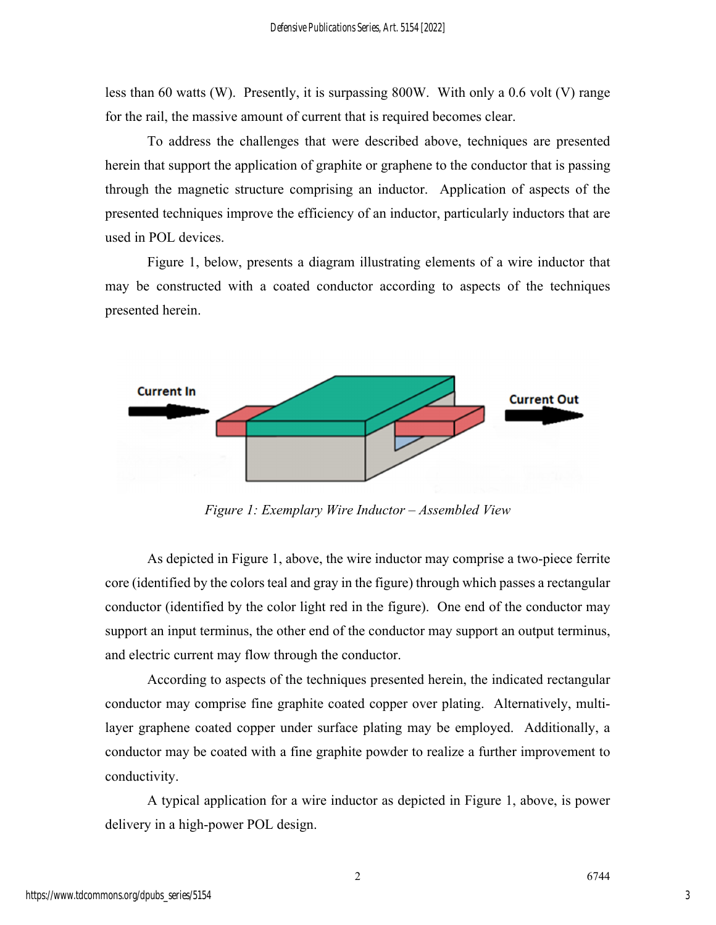less than 60 watts (W). Presently, it is surpassing 800W. With only a 0.6 volt (V) range for the rail, the massive amount of current that is required becomes clear.

To address the challenges that were described above, techniques are presented herein that support the application of graphite or graphene to the conductor that is passing through the magnetic structure comprising an inductor. Application of aspects of the presented techniques improve the efficiency of an inductor, particularly inductors that are used in POL devices.

Figure 1, below, presents a diagram illustrating elements of a wire inductor that may be constructed with a coated conductor according to aspects of the techniques presented herein.



*Figure 1: Exemplary Wire Inductor – Assembled View* 

As depicted in Figure 1, above, the wire inductor may comprise a two-piece ferrite core (identified by the colors teal and gray in the figure) through which passes a rectangular conductor (identified by the color light red in the figure). One end of the conductor may support an input terminus, the other end of the conductor may support an output terminus, and electric current may flow through the conductor.

According to aspects of the techniques presented herein, the indicated rectangular conductor may comprise fine graphite coated copper over plating. Alternatively, multilayer graphene coated copper under surface plating may be employed. Additionally, a conductor may be coated with a fine graphite powder to realize a further improvement to conductivity.

A typical application for a wire inductor as depicted in Figure 1, above, is power delivery in a high-power POL design.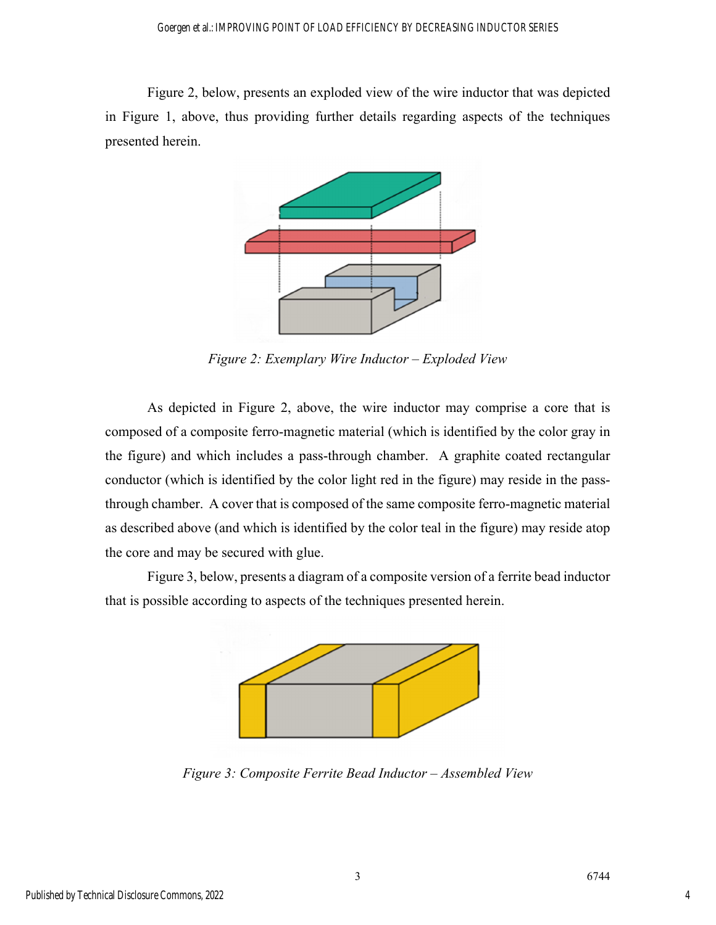Figure 2, below, presents an exploded view of the wire inductor that was depicted in Figure 1, above, thus providing further details regarding aspects of the techniques presented herein.



*Figure 2: Exemplary Wire Inductor – Exploded View* 

As depicted in Figure 2, above, the wire inductor may comprise a core that is composed of a composite ferro-magnetic material (which is identified by the color gray in the figure) and which includes a pass-through chamber. A graphite coated rectangular conductor (which is identified by the color light red in the figure) may reside in the passthrough chamber. A cover that is composed of the same composite ferro-magnetic material as described above (and which is identified by the color teal in the figure) may reside atop the core and may be secured with glue.

Figure 3, below, presents a diagram of a composite version of a ferrite bead inductor that is possible according to aspects of the techniques presented herein.



*Figure 3: Composite Ferrite Bead Inductor – Assembled View*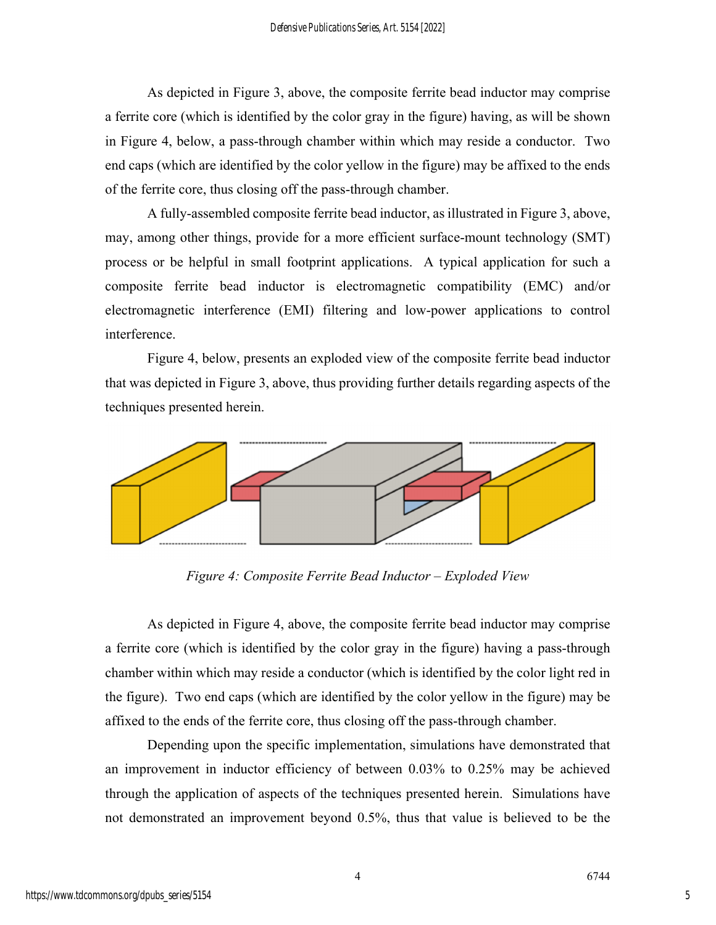As depicted in Figure 3, above, the composite ferrite bead inductor may comprise a ferrite core (which is identified by the color gray in the figure) having, as will be shown in Figure 4, below, a pass-through chamber within which may reside a conductor. Two end caps (which are identified by the color yellow in the figure) may be affixed to the ends of the ferrite core, thus closing off the pass-through chamber.

A fully-assembled composite ferrite bead inductor, as illustrated in Figure 3, above, may, among other things, provide for a more efficient surface-mount technology (SMT) process or be helpful in small footprint applications. A typical application for such a composite ferrite bead inductor is electromagnetic compatibility (EMC) and/or electromagnetic interference (EMI) filtering and low-power applications to control interference.

Figure 4, below, presents an exploded view of the composite ferrite bead inductor that was depicted in Figure 3, above, thus providing further details regarding aspects of the techniques presented herein.



*Figure 4: Composite Ferrite Bead Inductor – Exploded View* 

As depicted in Figure 4, above, the composite ferrite bead inductor may comprise a ferrite core (which is identified by the color gray in the figure) having a pass-through chamber within which may reside a conductor (which is identified by the color light red in the figure). Two end caps (which are identified by the color yellow in the figure) may be affixed to the ends of the ferrite core, thus closing off the pass-through chamber.

Depending upon the specific implementation, simulations have demonstrated that an improvement in inductor efficiency of between 0.03% to 0.25% may be achieved through the application of aspects of the techniques presented herein. Simulations have not demonstrated an improvement beyond 0.5%, thus that value is believed to be the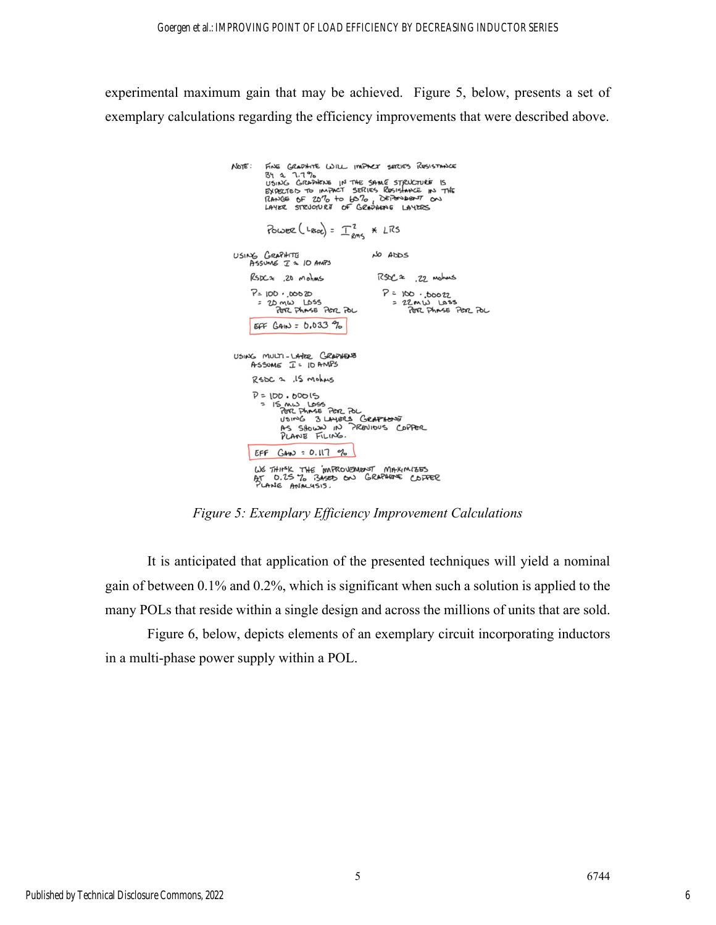experimental maximum gain that may be achieved. Figure 5, below, presents a set of exemplary calculations regarding the efficiency improvements that were described above.

| $NOTE$ :                                        | FINE GRAPHITE WILL IMPACT SERIES RESISTANCE<br>By a 7.7%<br>USING GRAPHENE IN THE SAME STRUCTURE IS<br>EXPECTED TO IMPACT SERIES RESISTANCE IN THE<br>RANGE OF 20% to 60%, DEPOMBENT ON<br>LAYER STRUCTURE OF GRAZHENG LAYERS |                                         |                   |
|-------------------------------------------------|-------------------------------------------------------------------------------------------------------------------------------------------------------------------------------------------------------------------------------|-----------------------------------------|-------------------|
|                                                 | POWER (LASDC) = $T_{\text{max}}^2$ * LRS                                                                                                                                                                                      |                                         |                   |
|                                                 | USING GRAPHITE<br>ASSUME I a 10 AMPS                                                                                                                                                                                          | NO ADOS                                 |                   |
|                                                 | $Rspc \approx 20$ mohms                                                                                                                                                                                                       | $RSE = 22$ Mohms                        |                   |
|                                                 | $P = 100.00020$<br>$= 2D \times W$ LOSS<br>PER PHASE PER POL                                                                                                                                                                  | $P = 100 \cdot 100022$<br>$= 22MW$ LOSS | PER PHASE PER POL |
|                                                 | $EFF$ $GAN = 0.033 \frac{9}{6}$                                                                                                                                                                                               |                                         |                   |
| USING MULTI-LAYER GRAPHENE<br>ASSUME I= ID AMPS |                                                                                                                                                                                                                               |                                         |                   |
|                                                 | $R$ SDC 2, $15$ Mohas                                                                                                                                                                                                         |                                         |                   |
|                                                 | $P = 100.60015$<br>$= 15 \text{ mJ}$ LOSS<br>PER PHASE PER POL<br>USING 3 LAYERS GRAPHENE<br>AS SHOWN IN PROVIOUS COPPER<br>PLANE FILING.                                                                                     |                                         |                   |
|                                                 | EFF $GAND = 0.117$ %                                                                                                                                                                                                          |                                         |                   |
|                                                 | WE THINK THE MAROVEMENT MAXIMIZES<br>AT 0.25% BASED ON GRAPHERE COPPER<br>PLANE ANALYSIS.                                                                                                                                     |                                         |                   |

*Figure 5: Exemplary Efficiency Improvement Calculations* 

It is anticipated that application of the presented techniques will yield a nominal gain of between 0.1% and 0.2%, which is significant when such a solution is applied to the many POLs that reside within a single design and across the millions of units that are sold.

Figure 6, below, depicts elements of an exemplary circuit incorporating inductors in a multi-phase power supply within a POL.